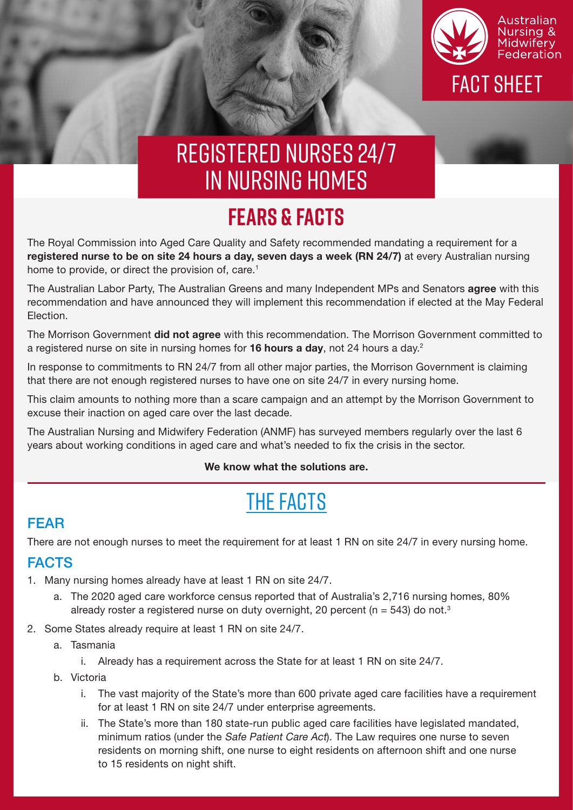

# registered nurses 24/7 in nursing homes

### **FEARS & FACTS**

The Royal Commission into Aged Care Quality and Safety recommended mandating a requirement for a registered nurse to be on site 24 hours a day, seven days a week (RN 24/7) at every Australian nursing home to provide, or direct the provision of, care.<sup>1</sup>

The Australian Labor Party, The Australian Greens and many Independent MPs and Senators agree with this recommendation and have announced they will implement this recommendation if elected at the May Federal Election.

The Morrison Government did not agree with this recommendation. The Morrison Government committed to a registered nurse on site in nursing homes for 16 hours a day, not 24 hours a day.<sup>2</sup>

In response to commitments to RN 24/7 from all other major parties, the Morrison Government is claiming that there are not enough registered nurses to have one on site 24/7 in every nursing home.

This claim amounts to nothing more than a scare campaign and an attempt by the Morrison Government to excuse their inaction on aged care over the last decade.

The Australian Nursing and Midwifery Federation (ANMF) has surveyed members regularly over the last 6 years about working conditions in aged care and what's needed to fix the crisis in the sector.

#### We know what the solutions are.

## THE FACTS

### FEAR

There are not enough nurses to meet the requirement for at least 1 RN on site 24/7 in every nursing home.

#### FACTS

- 1. Many nursing homes already have at least 1 RN on site 24/7.
	- a. The 2020 aged care workforce census reported that of Australia's 2,716 nursing homes, 80% already roster a registered nurse on duty overnight, 20 percent ( $n = 543$ ) do not.<sup>3</sup>
- 2. Some States already require at least 1 RN on site 24/7.
	- a. Tasmania
		- i. Already has a requirement across the State for at least 1 RN on site 24/7.
	- b. Victoria
		- i. The vast majority of the State's more than 600 private aged care facilities have a requirement for at least 1 RN on site 24/7 under enterprise agreements.
		- ii. The State's more than 180 state-run public aged care facilities have legislated mandated, minimum ratios (under the Safe Patient Care Act). The Law requires one nurse to seven residents on morning shift, one nurse to eight residents on afternoon shift and one nurse to 15 residents on night shift.